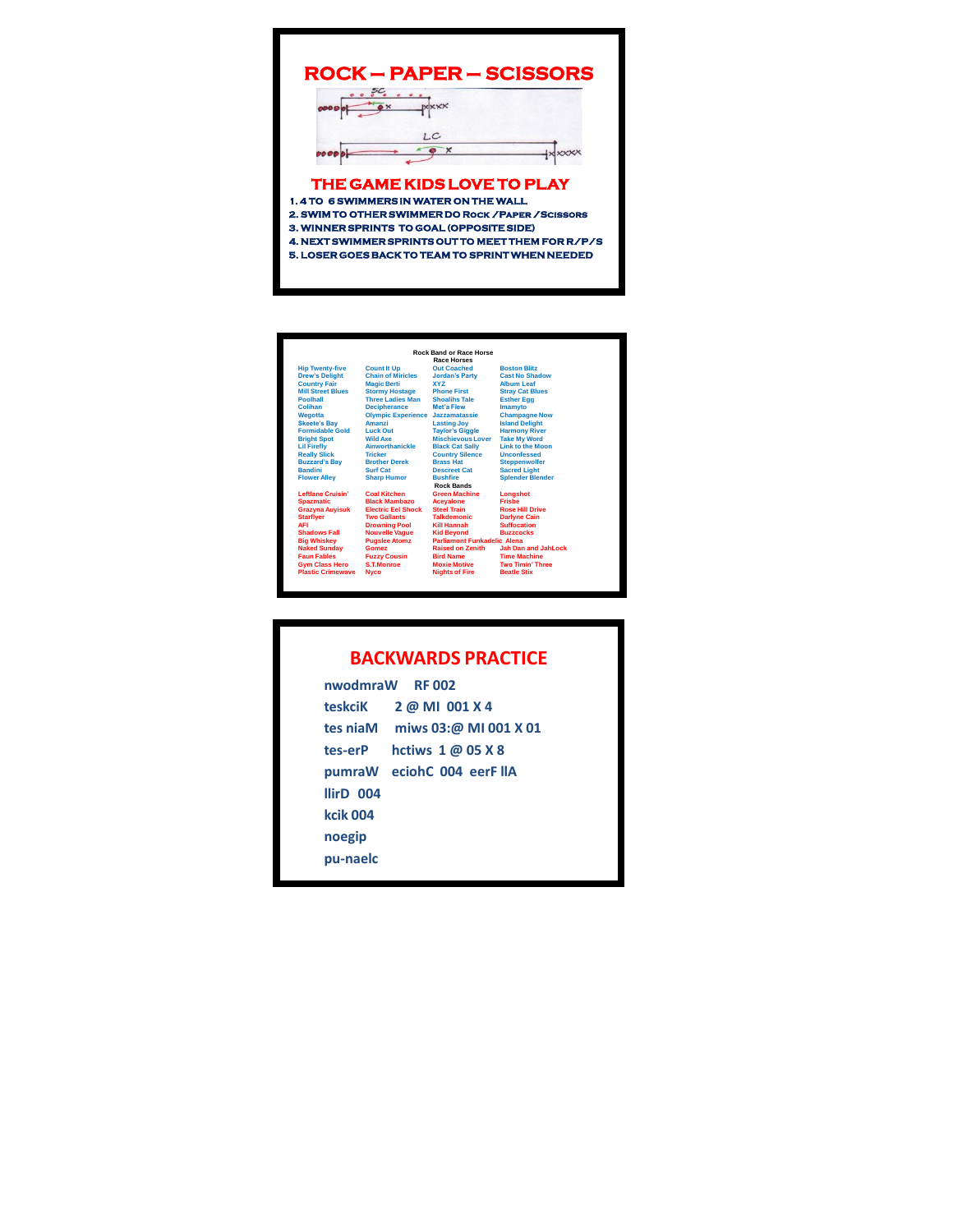| <b>ROCK - PAPER - SCISSORS</b>                                                                         |  |  |  |  |
|--------------------------------------------------------------------------------------------------------|--|--|--|--|
| $\overline{\mathbf{x}}$                                                                                |  |  |  |  |
| LC                                                                                                     |  |  |  |  |
| THE GAME KIDS LOVE TO PLAY<br>1.4 TO 6 SWIMMERS IN WATER ON THE WALL                                   |  |  |  |  |
| 2. SWIM TO OTHER SWIMMER DO ROCK / PAPER / SCISSORS                                                    |  |  |  |  |
| 3. WINNER SPRINTS TO GOAL (OPPOSITE SIDE)<br><b>4. NEXT SWIMMER SPRINTS OUT TO MEET THEM FOR R/P/S</b> |  |  |  |  |
| 5. LOSER GOES BACK TO TEAM TO SPRINT WHEN NEEDED                                                       |  |  |  |  |

|                                        |                           | <b>Rock Band or Race Horse</b>                   |                                             |
|----------------------------------------|---------------------------|--------------------------------------------------|---------------------------------------------|
|                                        |                           | <b>Race Horses</b>                               |                                             |
| <b>Hip Twenty-five</b>                 | <b>Count It Up</b>        | <b>Out Coached</b>                               | <b>Boston Blitz</b>                         |
| <b>Drew's Delight</b>                  | <b>Chain of Miricles</b>  | <b>Jordan's Party</b>                            | <b>Cast No Shadow</b>                       |
| <b>Country Fair</b>                    | <b>Magic Berti</b>        | <b>XYZ</b>                                       | <b>Album Leaf</b>                           |
| <b>Mill Street Blues</b>               | <b>Stormy Hostage</b>     | <b>Phone First</b>                               | <b>Stray Cat Blues</b>                      |
| Poolhall                               | <b>Three Ladies Man</b>   | <b>Shoalihs Tale</b>                             | <b>Esther Egg</b>                           |
| Colihan                                | <b>Decipherance</b>       | Met's Flew                                       | <b>Imamvto</b>                              |
| Wegotta                                | <b>Olympic Experience</b> | Jazzamatassie                                    | <b>Champagne Now</b>                        |
| <b>Skeete's Bav</b>                    | Amanzi                    | <b>Lasting Joy</b>                               | <b>Island Delight</b>                       |
| <b>Formidable Gold</b>                 | <b>Luck Out</b>           | <b>Tavlor's Giggle</b>                           | <b>Harmony River</b>                        |
| <b>Bright Spot</b>                     | <b>Wild Axe</b>           | <b>Mischievous Lover</b>                         | <b>Take My Word</b>                         |
| <b>Lil Firefly</b>                     | Ainworthanickle           |                                                  | <b>Link to the Moon</b>                     |
| <b>Really Slick</b>                    | <b>Tricker</b>            | <b>Black Cat Sally</b><br><b>Country Silence</b> | <b>Unconfessed</b>                          |
|                                        | <b>Brother Derek</b>      | <b>Brass Hat</b>                                 |                                             |
| <b>Buzzard's Bav</b><br><b>Bandini</b> | <b>Surf Cat</b>           | <b>Descreet Cat</b>                              | <b>Steppenwolfer</b><br><b>Sacred Light</b> |
|                                        |                           | <b>Bushfire</b>                                  | <b>Spiender Blender</b>                     |
| <b>Flower Alley</b>                    | <b>Sharp Humor</b>        | <b>Rock Bands</b>                                |                                             |
| <b>Leftlane Cruisin'</b>               | <b>Coal Kitchen</b>       | <b>Green Machine</b>                             | Longshot                                    |
| <b>Spazmatic</b>                       | <b>Black Mambazo</b>      | <b>Acevalone</b>                                 | <b>Frishe</b>                               |
| <b>Grazyna Auyisuk</b>                 | <b>Electric Eel Shock</b> | <b>Steel Train</b>                               | <b>Rose Hill Drive</b>                      |
| <b>Starfiver</b>                       | <b>Two Gallants</b>       | <b>Talkdemonic</b>                               |                                             |
| <b>AFI</b>                             |                           | Kill Hannah                                      | <b>Darlyne Cain</b><br><b>Suffocation</b>   |
| <b>Shadows Fall</b>                    | <b>Drowning Pool</b>      |                                                  | <b>Buzzcocks</b>                            |
|                                        | <b>Nouvelle Vaque</b>     | <b>Kid Bevond</b>                                |                                             |
| <b>Big Whiskey</b>                     | <b>Puaslee Atomz</b>      | <b>Parliamont Funkadelic Alena</b>               |                                             |
| <b>Naked Sundav</b>                    | Gomez                     | <b>Raised on Zenith</b>                          | <b>Jah Dan and JahLock</b>                  |
| <b>Faun Fables</b>                     | <b>Fuzzy Cousin</b>       | <b>Bird Name</b>                                 | <b>Time Machine</b>                         |
| <b>Gym Class Hero</b>                  | <b>S.T.Monroe</b>         | <b>Moxie Motive</b>                              | <b>Two Timin' Three</b>                     |
| <b>Plastic Crimewave</b>               | <b>Nyco</b>               | <b>Nights of Fire</b>                            | <b>Beatle Stix</b>                          |

| <b>BACKWARDS PRACTICE</b> |  |  |
|---------------------------|--|--|
|                           |  |  |

| nwodmraW RF002       |                                        |  |
|----------------------|----------------------------------------|--|
|                      | teskciK 2 @ MI 001 X 4                 |  |
|                      | tes niaM miws $03: \varpi$ MI 001 X 01 |  |
| tes-erP              | hctiws $1\omega$ 05 X 8                |  |
|                      | pumraW eciohC 004 eerF llA             |  |
| llirD <sub>004</sub> |                                        |  |
| kcik 004             |                                        |  |
| noegip               |                                        |  |
| pu-naelc             |                                        |  |
|                      |                                        |  |